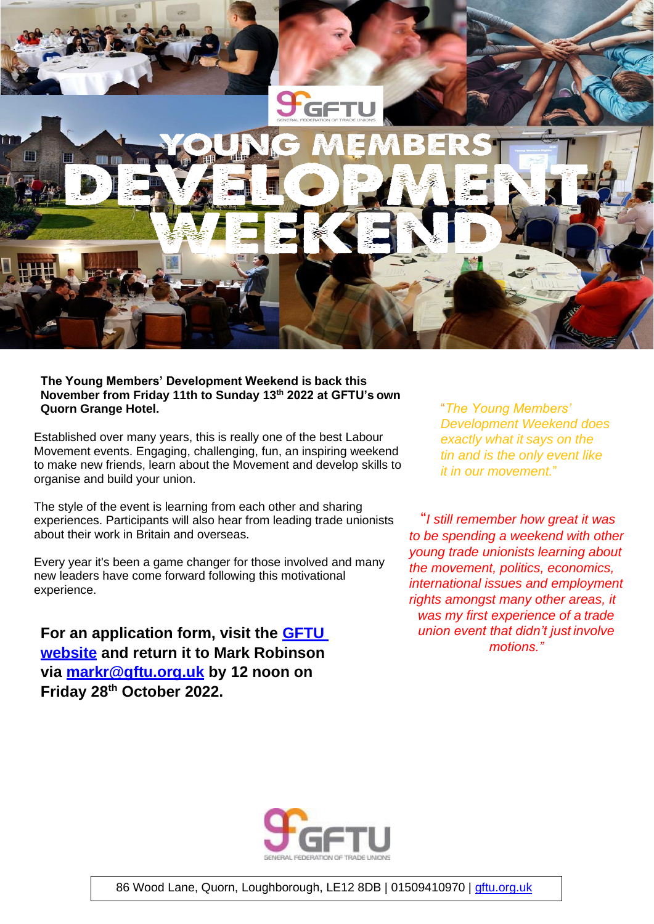

## **The Young Members' Development Weekend is back this November from Friday 11th to Sunday 13th 2022 at GFTU's own Quorn Grange Hotel.**

Established over many years, this is really one of the best Labour Movement events. Engaging, challenging, fun, an inspiring weekend to make new friends, learn about the Movement and develop skills to organise and build your union.

The style of the event is learning from each other and sharing experiences. Participants will also hear from leading trade unionists about their work in Britain and overseas.

Every year it's been a game changer for those involved and many new leaders have come forward following this motivational experience.

**For an application form, visit the [GFTU](https://gftu.org.uk/gftu-events/)  [website](https://gftu.org.uk/gftu-events/) and return it to Mark Robinson via [markr@gftu.org.uk](mailto:markr@gftu.org.uk) by 12 noon on Friday 28th October 2022.**

"*The Young Members' Development Weekend does exactly what it says on the tin and is the only event like it in our movement.*"

"*I still remember how great it was to be spending a weekend with other young trade unionists learning about the movement, politics, economics, international issues and employment rights amongst many other areas, it was my first experience of a trade union event that didn't just involve motions."*